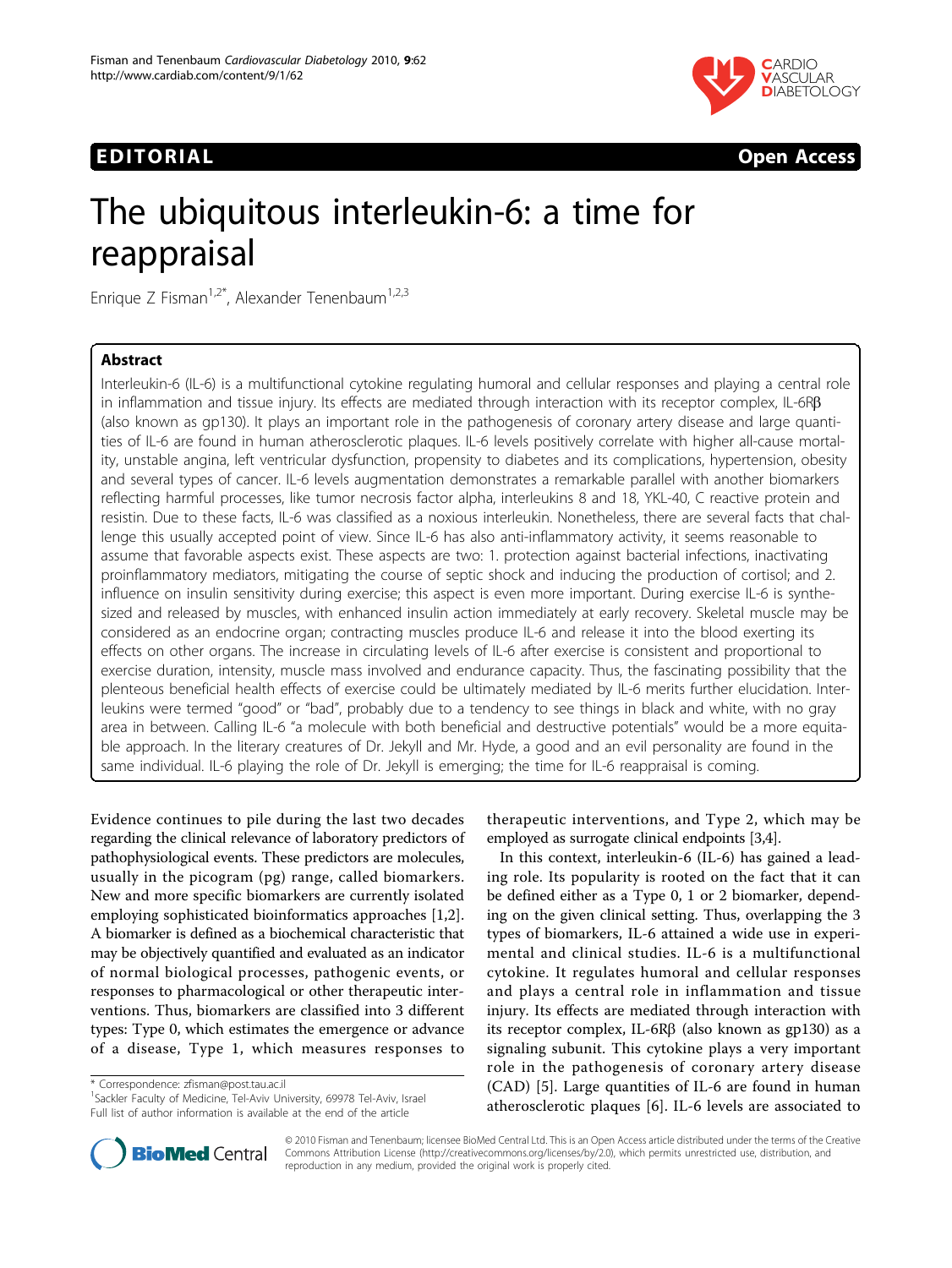



# The ubiquitous interleukin-6: a time for reappraisal

Enrique Z Fisman<sup>1,2\*</sup>, Alexander Tenenbaum<sup>1,2,3</sup>

# Abstract

Interleukin-6 (IL-6) is a multifunctional cytokine regulating humoral and cellular responses and playing a central role in inflammation and tissue injury. Its effects are mediated through interaction with its receptor complex, IL-6R $\beta$ (also known as gp130). It plays an important role in the pathogenesis of coronary artery disease and large quantities of IL-6 are found in human atherosclerotic plaques. IL-6 levels positively correlate with higher all-cause mortality, unstable angina, left ventricular dysfunction, propensity to diabetes and its complications, hypertension, obesity and several types of cancer. IL-6 levels augmentation demonstrates a remarkable parallel with another biomarkers reflecting harmful processes, like tumor necrosis factor alpha, interleukins 8 and 18, YKL-40, C reactive protein and resistin. Due to these facts, IL-6 was classified as a noxious interleukin. Nonetheless, there are several facts that challenge this usually accepted point of view. Since IL-6 has also anti-inflammatory activity, it seems reasonable to assume that favorable aspects exist. These aspects are two: 1. protection against bacterial infections, inactivating proinflammatory mediators, mitigating the course of septic shock and inducing the production of cortisol; and 2. influence on insulin sensitivity during exercise; this aspect is even more important. During exercise IL-6 is synthesized and released by muscles, with enhanced insulin action immediately at early recovery. Skeletal muscle may be considered as an endocrine organ; contracting muscles produce IL-6 and release it into the blood exerting its effects on other organs. The increase in circulating levels of IL-6 after exercise is consistent and proportional to exercise duration, intensity, muscle mass involved and endurance capacity. Thus, the fascinating possibility that the plenteous beneficial health effects of exercise could be ultimately mediated by IL-6 merits further elucidation. Interleukins were termed "good" or "bad", probably due to a tendency to see things in black and white, with no gray area in between. Calling IL-6 "a molecule with both beneficial and destructive potentials" would be a more equitable approach. In the literary creatures of Dr. Jekyll and Mr. Hyde, a good and an evil personality are found in the same individual. IL-6 playing the role of Dr. Jekyll is emerging; the time for IL-6 reappraisal is coming.

Evidence continues to pile during the last two decades regarding the clinical relevance of laboratory predictors of pathophysiological events. These predictors are molecules, usually in the picogram (pg) range, called biomarkers. New and more specific biomarkers are currently isolated employing sophisticated bioinformatics approaches [\[1,2](#page-3-0)]. A biomarker is defined as a biochemical characteristic that may be objectively quantified and evaluated as an indicator of normal biological processes, pathogenic events, or responses to pharmacological or other therapeutic interventions. Thus, biomarkers are classified into 3 different types: Type 0, which estimates the emergence or advance of a disease, Type 1, which measures responses to

\* Correspondence: [zfisman@post.tau.ac.il](mailto:zfisman@post.tau.ac.il)

<sup>1</sup>Sackler Faculty of Medicine, Tel-Aviv University, 69978 Tel-Aviv, Israel Full list of author information is available at the end of the article



In this context, interleukin-6 (IL-6) has gained a leading role. Its popularity is rooted on the fact that it can be defined either as a Type 0, 1 or 2 biomarker, depending on the given clinical setting. Thus, overlapping the 3 types of biomarkers, IL-6 attained a wide use in experimental and clinical studies. IL-6 is a multifunctional cytokine. It regulates humoral and cellular responses and plays a central role in inflammation and tissue injury. Its effects are mediated through interaction with its receptor complex, IL-6R $\beta$  (also known as gp130) as a signaling subunit. This cytokine plays a very important role in the pathogenesis of coronary artery disease (CAD) [[5\]](#page-3-0). Large quantities of IL-6 are found in human atherosclerotic plaques [[6\]](#page-3-0). IL-6 levels are associated to



© 2010 Fisman and Tenenbaum; licensee BioMed Central Ltd. This is an Open Access article distributed under the terms of the Creative Commons Attribution License [\(http://creativecommons.org/licenses/by/2.0](http://creativecommons.org/licenses/by/2.0)), which permits unrestricted use, distribution, and reproduction in any medium, provided the original work is properly cited.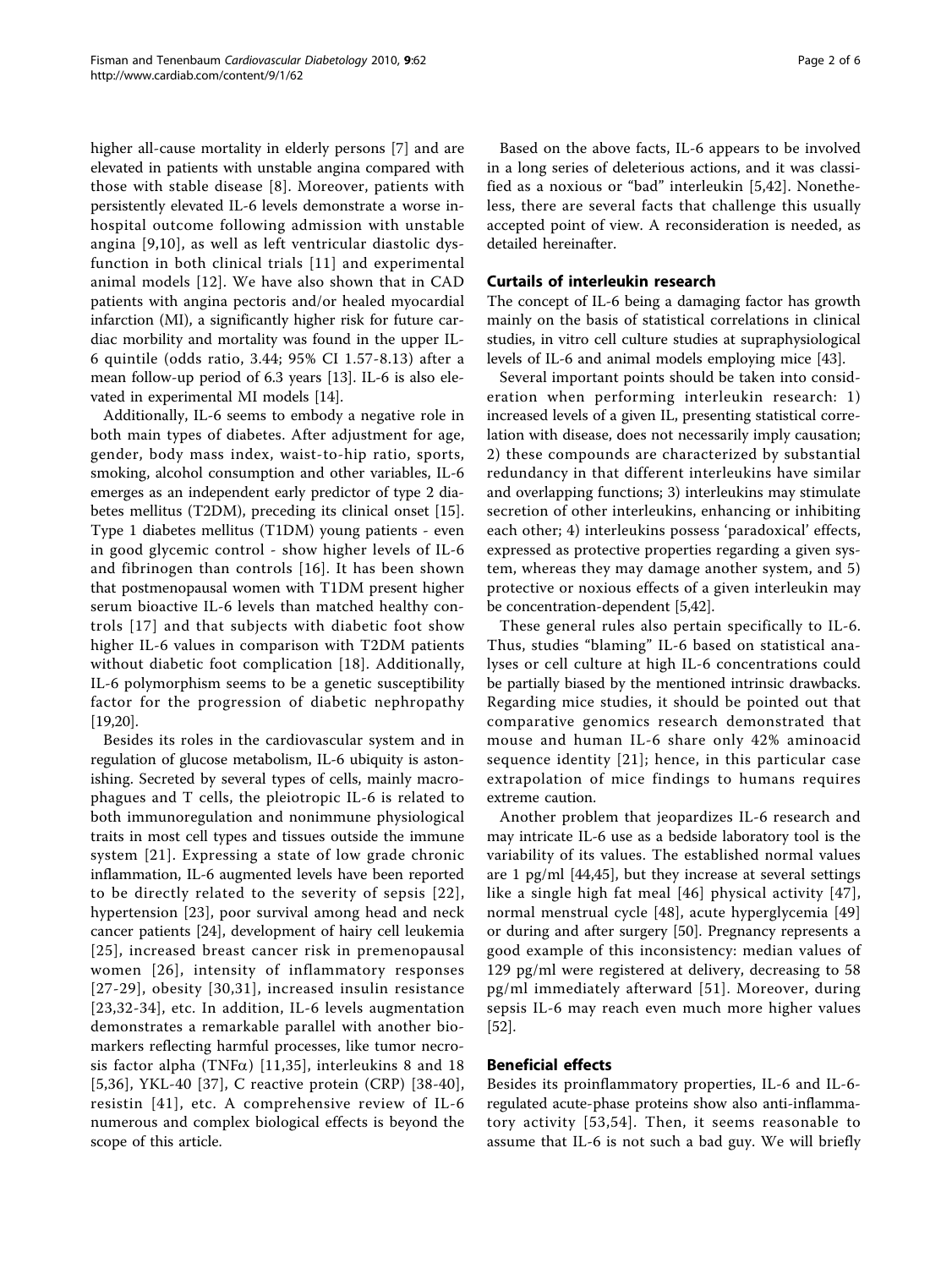higher all-cause mortality in elderly persons [[7\]](#page-3-0) and are elevated in patients with unstable angina compared with those with stable disease [[8\]](#page-3-0). Moreover, patients with persistently elevated IL-6 levels demonstrate a worse inhospital outcome following admission with unstable angina [[9](#page-3-0),[10](#page-3-0)], as well as left ventricular diastolic dysfunction in both clinical trials [[11](#page-3-0)] and experimental animal models [[12](#page-3-0)]. We have also shown that in CAD patients with angina pectoris and/or healed myocardial infarction (MI), a significantly higher risk for future cardiac morbility and mortality was found in the upper IL-6 quintile (odds ratio, 3.44; 95% CI 1.57-8.13) after a mean follow-up period of 6.3 years [[13\]](#page-3-0). IL-6 is also elevated in experimental MI models [[14\]](#page-3-0).

Additionally, IL-6 seems to embody a negative role in both main types of diabetes. After adjustment for age, gender, body mass index, waist-to-hip ratio, sports, smoking, alcohol consumption and other variables, IL-6 emerges as an independent early predictor of type 2 diabetes mellitus (T2DM), preceding its clinical onset [\[15](#page-3-0)]. Type 1 diabetes mellitus (T1DM) young patients - even in good glycemic control - show higher levels of IL-6 and fibrinogen than controls [[16\]](#page-3-0). It has been shown that postmenopausal women with T1DM present higher serum bioactive IL-6 levels than matched healthy controls [[17](#page-3-0)] and that subjects with diabetic foot show higher IL-6 values in comparison with T2DM patients without diabetic foot complication [[18\]](#page-3-0). Additionally, IL-6 polymorphism seems to be a genetic susceptibility factor for the progression of diabetic nephropathy [[19,20\]](#page-3-0).

Besides its roles in the cardiovascular system and in regulation of glucose metabolism, IL-6 ubiquity is astonishing. Secreted by several types of cells, mainly macrophagues and T cells, the pleiotropic IL-6 is related to both immunoregulation and nonimmune physiological traits in most cell types and tissues outside the immune system [[21](#page-3-0)]. Expressing a state of low grade chronic inflammation, IL-6 augmented levels have been reported to be directly related to the severity of sepsis [[22\]](#page-3-0), hypertension [\[23](#page-3-0)], poor survival among head and neck cancer patients [[24\]](#page-3-0), development of hairy cell leukemia [[25\]](#page-3-0), increased breast cancer risk in premenopausal women [[26](#page-3-0)], intensity of inflammatory responses [[27-](#page-3-0)[29](#page-4-0)], obesity [[30](#page-4-0),[31\]](#page-4-0), increased insulin resistance [[23,](#page-3-0)[32-34\]](#page-4-0), etc. In addition, IL-6 levels augmentation demonstrates a remarkable parallel with another biomarkers reflecting harmful processes, like tumor necrosis factor alpha (TNF $\alpha$ ) [[11](#page-3-0),[35\]](#page-4-0), interleukins 8 and 18 [[5](#page-3-0),[36\]](#page-4-0), YKL-40 [[37](#page-4-0)], C reactive protein (CRP) [[38-40](#page-4-0)], resistin [[41\]](#page-4-0), etc. A comprehensive review of IL-6 numerous and complex biological effects is beyond the scope of this article.

Based on the above facts, IL-6 appears to be involved in a long series of deleterious actions, and it was classified as a noxious or "bad" interleukin [[5](#page-3-0)[,42\]](#page-4-0). Nonetheless, there are several facts that challenge this usually accepted point of view. A reconsideration is needed, as detailed hereinafter.

# Curtails of interleukin research

The concept of IL-6 being a damaging factor has growth mainly on the basis of statistical correlations in clinical studies, in vitro cell culture studies at supraphysiological levels of IL-6 and animal models employing mice [\[43\]](#page-4-0).

Several important points should be taken into consideration when performing interleukin research: 1) increased levels of a given IL, presenting statistical correlation with disease, does not necessarily imply causation; 2) these compounds are characterized by substantial redundancy in that different interleukins have similar and overlapping functions; 3) interleukins may stimulate secretion of other interleukins, enhancing or inhibiting each other; 4) interleukins possess 'paradoxical' effects, expressed as protective properties regarding a given system, whereas they may damage another system, and 5) protective or noxious effects of a given interleukin may be concentration-dependent [\[5](#page-3-0)[,42](#page-4-0)].

These general rules also pertain specifically to IL-6. Thus, studies "blaming" IL-6 based on statistical analyses or cell culture at high IL-6 concentrations could be partially biased by the mentioned intrinsic drawbacks. Regarding mice studies, it should be pointed out that comparative genomics research demonstrated that mouse and human IL-6 share only 42% aminoacid sequence identity [[21](#page-3-0)]; hence, in this particular case extrapolation of mice findings to humans requires extreme caution.

Another problem that jeopardizes IL-6 research and may intricate IL-6 use as a bedside laboratory tool is the variability of its values. The established normal values are 1 pg/ml [[44,45\]](#page-4-0), but they increase at several settings like a single high fat meal [[46\]](#page-4-0) physical activity [\[47\]](#page-4-0), normal menstrual cycle [\[48](#page-4-0)], acute hyperglycemia [\[49](#page-4-0)] or during and after surgery [\[50](#page-4-0)]. Pregnancy represents a good example of this inconsistency: median values of 129 pg/ml were registered at delivery, decreasing to 58 pg/ml immediately afterward [[51](#page-4-0)]. Moreover, during sepsis IL-6 may reach even much more higher values [[52\]](#page-4-0).

# Beneficial effects

Besides its proinflammatory properties, IL-6 and IL-6 regulated acute-phase proteins show also anti-inflammatory activity [[53,54\]](#page-4-0). Then, it seems reasonable to assume that IL-6 is not such a bad guy. We will briefly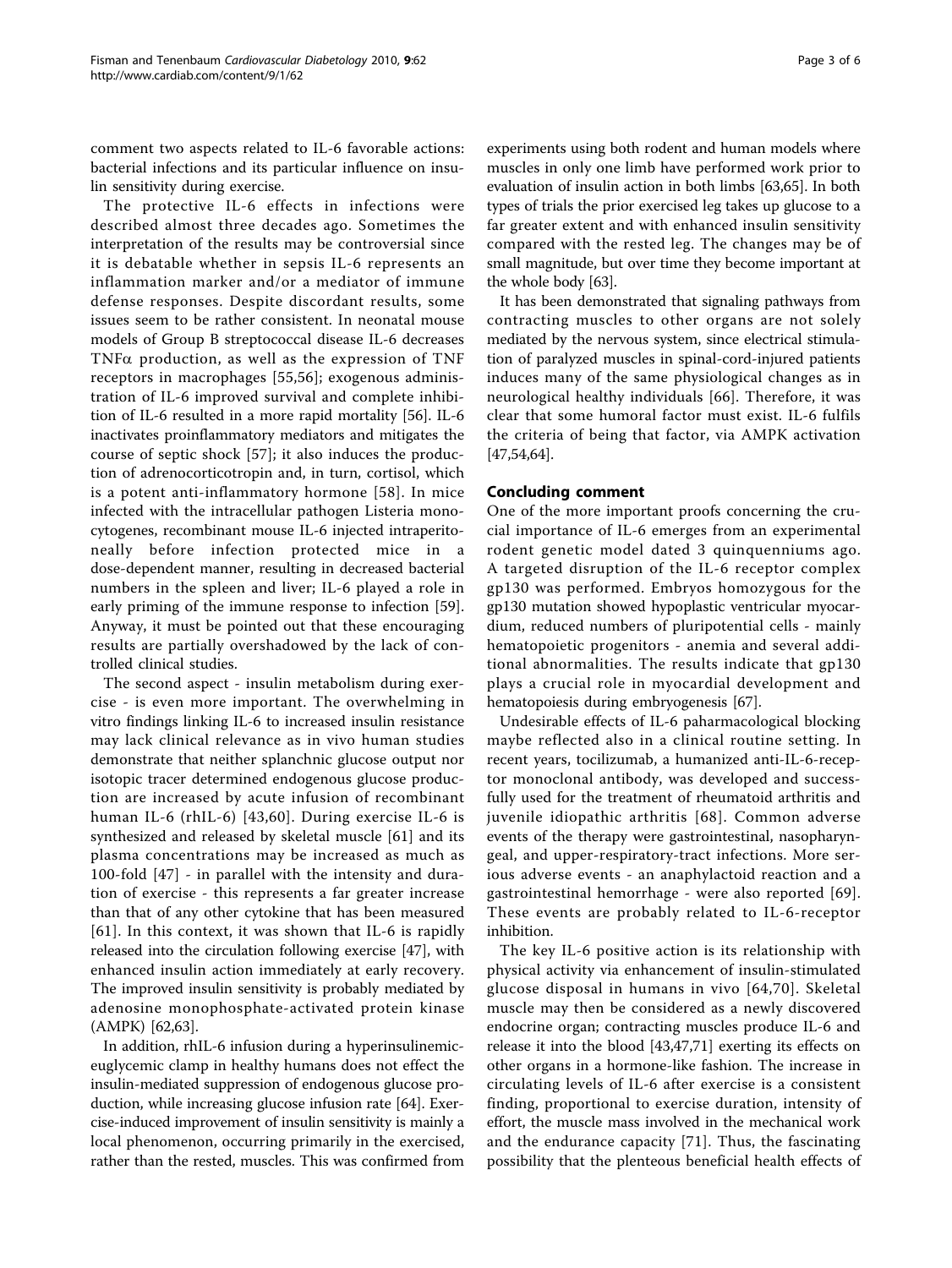comment two aspects related to IL-6 favorable actions: bacterial infections and its particular influence on insulin sensitivity during exercise.

The protective IL-6 effects in infections were described almost three decades ago. Sometimes the interpretation of the results may be controversial since it is debatable whether in sepsis IL-6 represents an inflammation marker and/or a mediator of immune defense responses. Despite discordant results, some issues seem to be rather consistent. In neonatal mouse models of Group B streptococcal disease IL-6 decreases TNF $\alpha$  production, as well as the expression of TNF receptors in macrophages [[55,56](#page-4-0)]; exogenous administration of IL-6 improved survival and complete inhibition of IL-6 resulted in a more rapid mortality [[56\]](#page-4-0). IL-6 inactivates proinflammatory mediators and mitigates the course of septic shock [\[57](#page-4-0)]; it also induces the production of adrenocorticotropin and, in turn, cortisol, which is a potent anti-inflammatory hormone [[58\]](#page-4-0). In mice infected with the intracellular pathogen Listeria monocytogenes, recombinant mouse IL-6 injected intraperitoneally before infection protected mice in a dose-dependent manner, resulting in decreased bacterial numbers in the spleen and liver; IL-6 played a role in early priming of the immune response to infection [\[59](#page-4-0)]. Anyway, it must be pointed out that these encouraging results are partially overshadowed by the lack of controlled clinical studies.

The second aspect - insulin metabolism during exercise - is even more important. The overwhelming in vitro findings linking IL-6 to increased insulin resistance may lack clinical relevance as in vivo human studies demonstrate that neither splanchnic glucose output nor isotopic tracer determined endogenous glucose production are increased by acute infusion of recombinant human IL-6 (rhIL-6) [\[43,60\]](#page-4-0). During exercise IL-6 is synthesized and released by skeletal muscle [[61\]](#page-4-0) and its plasma concentrations may be increased as much as 100-fold [[47](#page-4-0)] - in parallel with the intensity and duration of exercise - this represents a far greater increase than that of any other cytokine that has been measured [[61](#page-4-0)]. In this context, it was shown that IL-6 is rapidly released into the circulation following exercise [\[47](#page-4-0)], with enhanced insulin action immediately at early recovery. The improved insulin sensitivity is probably mediated by adenosine monophosphate-activated protein kinase (AMPK) [\[62,63](#page-4-0)].

In addition, rhIL-6 infusion during a hyperinsulinemiceuglycemic clamp in healthy humans does not effect the insulin-mediated suppression of endogenous glucose production, while increasing glucose infusion rate [[64\]](#page-4-0). Exercise-induced improvement of insulin sensitivity is mainly a local phenomenon, occurring primarily in the exercised, rather than the rested, muscles. This was confirmed from

experiments using both rodent and human models where muscles in only one limb have performed work prior to evaluation of insulin action in both limbs [[63](#page-4-0),[65](#page-4-0)]. In both types of trials the prior exercised leg takes up glucose to a far greater extent and with enhanced insulin sensitivity compared with the rested leg. The changes may be of small magnitude, but over time they become important at the whole body [\[63](#page-4-0)].

It has been demonstrated that signaling pathways from contracting muscles to other organs are not solely mediated by the nervous system, since electrical stimulation of paralyzed muscles in spinal-cord-injured patients induces many of the same physiological changes as in neurological healthy individuals [[66](#page-4-0)]. Therefore, it was clear that some humoral factor must exist. IL-6 fulfils the criteria of being that factor, via AMPK activation [[47,54,64](#page-4-0)].

# Concluding comment

One of the more important proofs concerning the crucial importance of IL-6 emerges from an experimental rodent genetic model dated 3 quinquenniums ago. A targeted disruption of the IL-6 receptor complex gp130 was performed. Embryos homozygous for the gp130 mutation showed hypoplastic ventricular myocardium, reduced numbers of pluripotential cells - mainly hematopoietic progenitors - anemia and several additional abnormalities. The results indicate that gp130 plays a crucial role in myocardial development and hematopoiesis during embryogenesis [[67](#page-4-0)].

Undesirable effects of IL-6 paharmacological blocking maybe reflected also in a clinical routine setting. In recent years, tocilizumab, a humanized anti-IL-6-receptor monoclonal antibody, was developed and successfully used for the treatment of rheumatoid arthritis and juvenile idiopathic arthritis [[68](#page-4-0)]. Common adverse events of the therapy were gastrointestinal, nasopharyngeal, and upper-respiratory-tract infections. More serious adverse events - an anaphylactoid reaction and a gastrointestinal hemorrhage - were also reported [[69](#page-5-0)]. These events are probably related to IL-6-receptor inhibition.

The key IL-6 positive action is its relationship with physical activity via enhancement of insulin-stimulated glucose disposal in humans in vivo [[64](#page-4-0),[70](#page-5-0)]. Skeletal muscle may then be considered as a newly discovered endocrine organ; contracting muscles produce IL-6 and release it into the blood [[43,47](#page-4-0),[71](#page-5-0)] exerting its effects on other organs in a hormone-like fashion. The increase in circulating levels of IL-6 after exercise is a consistent finding, proportional to exercise duration, intensity of effort, the muscle mass involved in the mechanical work and the endurance capacity [[71\]](#page-5-0). Thus, the fascinating possibility that the plenteous beneficial health effects of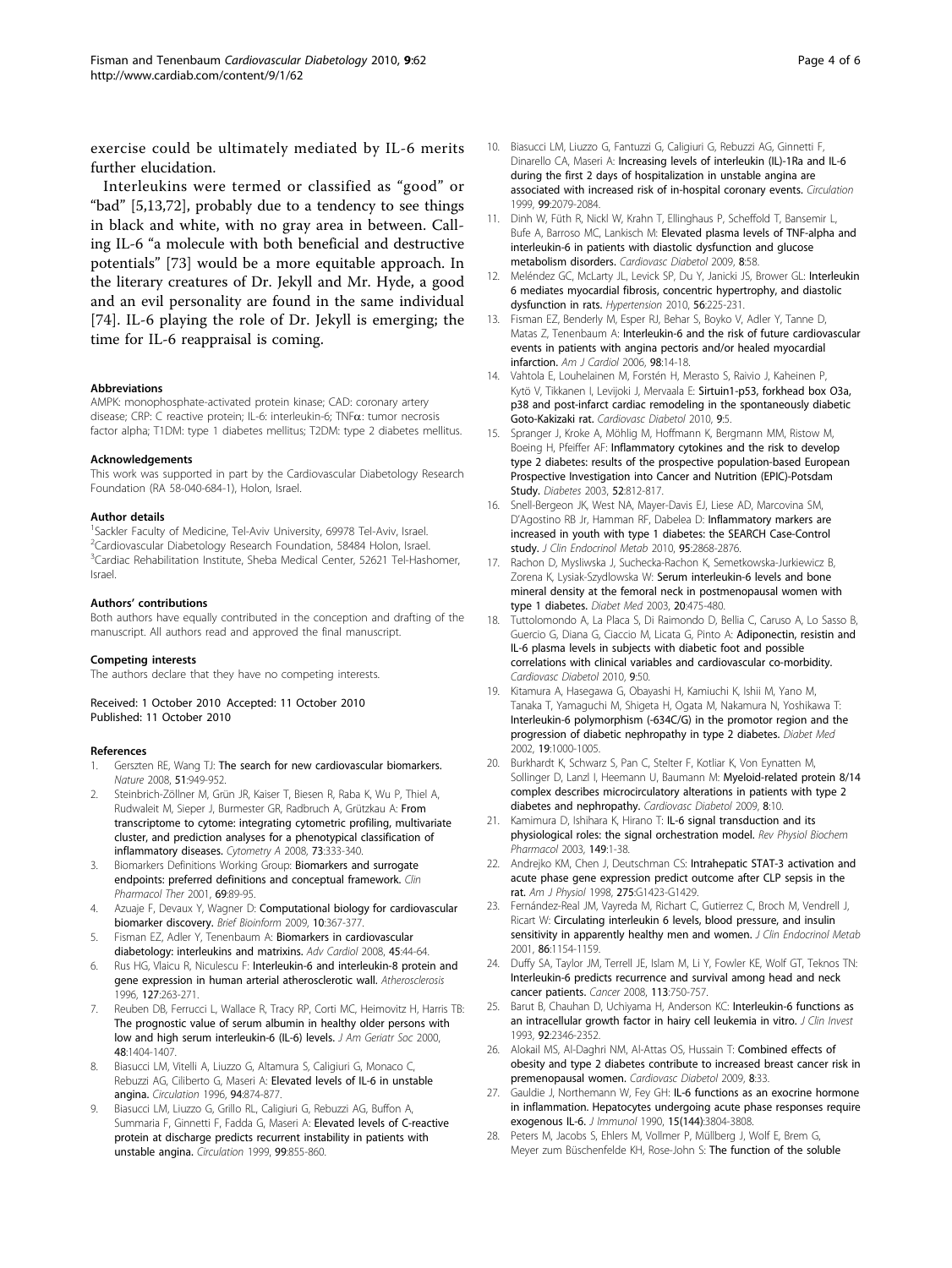<span id="page-3-0"></span>exercise could be ultimately mediated by IL-6 merits further elucidation.

Interleukins were termed or classified as "good" or "bad" [5,13,[72\]](#page-5-0), probably due to a tendency to see things in black and white, with no gray area in between. Calling IL-6 "a molecule with both beneficial and destructive potentials" [[73\]](#page-5-0) would be a more equitable approach. In the literary creatures of Dr. Jekyll and Mr. Hyde, a good and an evil personality are found in the same individual [[74\]](#page-5-0). IL-6 playing the role of Dr. Jekyll is emerging; the time for IL-6 reappraisal is coming.

### Abbreviations

AMPK: monophosphate-activated protein kinase; CAD: coronary artery disease; CRP: C reactive protein; IL-6: interleukin-6; TNFa: tumor necrosis factor alpha; T1DM: type 1 diabetes mellitus; T2DM: type 2 diabetes mellitus.

#### Acknowledgements

This work was supported in part by the Cardiovascular Diabetology Research Foundation (RA 58-040-684-1), Holon, Israel.

#### Author details

<sup>1</sup>Sackler Faculty of Medicine, Tel-Aviv University, 69978 Tel-Aviv, Israel. <sup>2</sup>Cardiovascular Diabetology Research Foundation, 58484 Holon, Israel. <sup>3</sup>Cardiac Rehabilitation Institute, Sheba Medical Center, 52621 Tel-Hashomer, Israel.

#### Authors' contributions

Both authors have equally contributed in the conception and drafting of the manuscript. All authors read and approved the final manuscript.

#### Competing interests

The authors declare that they have no competing interests.

Received: 1 October 2010 Accepted: 11 October 2010 Published: 11 October 2010

### References

- 1. Gerszten RE, Wang TJ: The search for new cardiovascular biomarkers. Nature 2008, 51:949-952.
- 2. Steinbrich-Zöllner M, Grün JR, Kaiser T, Biesen R, Raba K, Wu P, Thiel A, Rudwaleit M, Sieper J, Burmester GR, Radbruch A, Grützkau A: [From](http://www.ncbi.nlm.nih.gov/pubmed/18307258?dopt=Abstract) [transcriptome to cytome: integrating cytometric profiling, multivariate](http://www.ncbi.nlm.nih.gov/pubmed/18307258?dopt=Abstract) [cluster, and prediction analyses for a phenotypical classification of](http://www.ncbi.nlm.nih.gov/pubmed/18307258?dopt=Abstract) [inflammatory diseases.](http://www.ncbi.nlm.nih.gov/pubmed/18307258?dopt=Abstract) Cytometry A 2008, 73:333-340.
- 3. Biomarkers Definitions Working Group: [Biomarkers and surrogate](http://www.ncbi.nlm.nih.gov/pubmed/11240971?dopt=Abstract) [endpoints: preferred definitions and conceptual framework.](http://www.ncbi.nlm.nih.gov/pubmed/11240971?dopt=Abstract) Clin Pharmacol Ther 2001, 69:89-95.
- 4. Azuaje F, Devaux Y, Wagner D: [Computational biology for cardiovascular](http://www.ncbi.nlm.nih.gov/pubmed/19276200?dopt=Abstract) [biomarker discovery.](http://www.ncbi.nlm.nih.gov/pubmed/19276200?dopt=Abstract) Brief Bioinform 2009, 10:367-377.
- 5. Fisman EZ, Adler Y, Tenenbaum A: [Biomarkers in cardiovascular](http://www.ncbi.nlm.nih.gov/pubmed/18230955?dopt=Abstract) [diabetology: interleukins and matrixins.](http://www.ncbi.nlm.nih.gov/pubmed/18230955?dopt=Abstract) Adv Cardiol 2008, 45:44-64.
- 6. Rus HG, Vlaicu R, Niculescu F: [Interleukin-6 and interleukin-8 protein and](http://www.ncbi.nlm.nih.gov/pubmed/9125317?dopt=Abstract) [gene expression in human arterial atherosclerotic wall.](http://www.ncbi.nlm.nih.gov/pubmed/9125317?dopt=Abstract) Atherosclerosis 1996, 127:263-271.
- Reuben DB, Ferrucci L, Wallace R, Tracy RP, Corti MC, Heimovitz H, Harris TB: [The prognostic value of serum albumin in healthy older persons with](http://www.ncbi.nlm.nih.gov/pubmed/11083315?dopt=Abstract) [low and high serum interleukin-6 \(IL-6\) levels.](http://www.ncbi.nlm.nih.gov/pubmed/11083315?dopt=Abstract) J Am Geriatr Soc 2000, 48:1404-1407.
- 8. Biasucci LM, Vitelli A, Liuzzo G, Altamura S, Caligiuri G, Monaco C, Rebuzzi AG, Ciliberto G, Maseri A: [Elevated levels of IL-6 in unstable](http://www.ncbi.nlm.nih.gov/pubmed/8790019?dopt=Abstract) [angina.](http://www.ncbi.nlm.nih.gov/pubmed/8790019?dopt=Abstract) Circulation 1996, 94:874-877.
- 9. Biasucci LM, Liuzzo G, Grillo RL, Caligiuri G, Rebuzzi AG, Buffon A, Summaria F, Ginnetti F, Fadda G, Maseri A: [Elevated levels of C-reactive](http://www.ncbi.nlm.nih.gov/pubmed/10027805?dopt=Abstract) [protein at discharge predicts recurrent instability in patients with](http://www.ncbi.nlm.nih.gov/pubmed/10027805?dopt=Abstract) [unstable angina.](http://www.ncbi.nlm.nih.gov/pubmed/10027805?dopt=Abstract) Circulation 1999, 99:855-860.
- 10. Biasucci LM, Liuzzo G, Fantuzzi G, Caligiuri G, Rebuzzi AG, Ginnetti F, Dinarello CA, Maseri A: [Increasing levels of interleukin \(IL\)-1Ra and IL-6](http://www.ncbi.nlm.nih.gov/pubmed/10217645?dopt=Abstract) [during the first 2 days of hospitalization in unstable angina are](http://www.ncbi.nlm.nih.gov/pubmed/10217645?dopt=Abstract) [associated with increased risk of in-hospital coronary events.](http://www.ncbi.nlm.nih.gov/pubmed/10217645?dopt=Abstract) Circulation 1999, 99:2079-2084.
- 11. Dinh W, Füth R, Nickl W, Krahn T, Ellinghaus P, Scheffold T, Bansemir L, Bufe A, Barroso MC, Lankisch M: [Elevated plasma levels of TNF-alpha and](http://www.ncbi.nlm.nih.gov/pubmed/19909503?dopt=Abstract) [interleukin-6 in patients with diastolic dysfunction and glucose](http://www.ncbi.nlm.nih.gov/pubmed/19909503?dopt=Abstract) [metabolism disorders.](http://www.ncbi.nlm.nih.gov/pubmed/19909503?dopt=Abstract) Cardiovasc Diabetol 2009, 8:58.
- 12. Meléndez GC, McLarty JL, Levick SP, Du Y, Janicki JS, Brower GL: [Interleukin](http://www.ncbi.nlm.nih.gov/pubmed/20606113?dopt=Abstract) [6 mediates myocardial fibrosis, concentric hypertrophy, and diastolic](http://www.ncbi.nlm.nih.gov/pubmed/20606113?dopt=Abstract) [dysfunction in rats.](http://www.ncbi.nlm.nih.gov/pubmed/20606113?dopt=Abstract) Hypertension 2010, 56:225-231.
- 13. Fisman EZ, Benderly M, Esper RJ, Behar S, Boyko V, Adler Y, Tanne D, Matas Z, Tenenbaum A: [Interleukin-6 and the risk of future cardiovascular](http://www.ncbi.nlm.nih.gov/pubmed/16784912?dopt=Abstract) [events in patients with angina pectoris and/or healed myocardial](http://www.ncbi.nlm.nih.gov/pubmed/16784912?dopt=Abstract) [infarction.](http://www.ncbi.nlm.nih.gov/pubmed/16784912?dopt=Abstract) Am J Cardiol 2006, 98:14-18.
- 14. Vahtola E, Louhelainen M, Forstén H, Merasto S, Raivio J, Kaheinen P, Kytö V, Tikkanen I, Levijoki J, Mervaala E: [Sirtuin1-p53, forkhead box O3a,](http://www.ncbi.nlm.nih.gov/pubmed/20105289?dopt=Abstract) [p38 and post-infarct cardiac remodeling in the spontaneously diabetic](http://www.ncbi.nlm.nih.gov/pubmed/20105289?dopt=Abstract) [Goto-Kakizaki rat.](http://www.ncbi.nlm.nih.gov/pubmed/20105289?dopt=Abstract) Cardiovasc Diabetol 2010, 9:5.
- 15. Spranger J, Kroke A, Möhlig M, Hoffmann K, Bergmann MM, Ristow M, Boeing H, Pfeiffer AF: [Inflammatory cytokines and the risk to develop](http://www.ncbi.nlm.nih.gov/pubmed/12606524?dopt=Abstract) [type 2 diabetes: results of the prospective population-based European](http://www.ncbi.nlm.nih.gov/pubmed/12606524?dopt=Abstract) [Prospective Investigation into Cancer and Nutrition \(EPIC\)-Potsdam](http://www.ncbi.nlm.nih.gov/pubmed/12606524?dopt=Abstract) [Study.](http://www.ncbi.nlm.nih.gov/pubmed/12606524?dopt=Abstract) Diabetes 2003, 52:812-817.
- 16. Snell-Bergeon JK, West NA, Mayer-Davis EJ, Liese AD, Marcovina SM, D'Agostino RB Jr, Hamman RF, Dabelea D: [Inflammatory markers are](http://www.ncbi.nlm.nih.gov/pubmed/20371668?dopt=Abstract) [increased in youth with type 1 diabetes: the SEARCH Case-Control](http://www.ncbi.nlm.nih.gov/pubmed/20371668?dopt=Abstract) [study.](http://www.ncbi.nlm.nih.gov/pubmed/20371668?dopt=Abstract) J Clin Endocrinol Metab 2010, 95:2868-2876.
- 17. Rachon D, Mysliwska J, Suchecka-Rachon K, Semetkowska-Jurkiewicz B, Zorena K, Lysiak-Szydlowska W: [Serum interleukin-6 levels and bone](http://www.ncbi.nlm.nih.gov/pubmed/12786682?dopt=Abstract) [mineral density at the femoral neck in postmenopausal women with](http://www.ncbi.nlm.nih.gov/pubmed/12786682?dopt=Abstract) [type 1 diabetes.](http://www.ncbi.nlm.nih.gov/pubmed/12786682?dopt=Abstract) Diabet Med 2003, 20:475-480.
- 18. Tuttolomondo A, La Placa S, Di Raimondo D, Bellia C, Caruso A, Lo Sasso B, Guercio G, Diana G, Ciaccio M, Licata G, Pinto A: [Adiponectin, resistin and](http://www.ncbi.nlm.nih.gov/pubmed/20836881?dopt=Abstract) [IL-6 plasma levels in subjects with diabetic foot and possible](http://www.ncbi.nlm.nih.gov/pubmed/20836881?dopt=Abstract) [correlations with clinical variables and cardiovascular co-morbidity.](http://www.ncbi.nlm.nih.gov/pubmed/20836881?dopt=Abstract) Cardiovasc Diabetol 2010, 9:50.
- 19. Kitamura A, Hasegawa G, Obayashi H, Kamiuchi K, Ishii M, Yano M, Tanaka T, Yamaguchi M, Shigeta H, Ogata M, Nakamura N, Yoshikawa T: [Interleukin-6 polymorphism \(-634C/G\) in the promotor region and the](http://www.ncbi.nlm.nih.gov/pubmed/12647840?dopt=Abstract) [progression of diabetic nephropathy in type 2 diabetes.](http://www.ncbi.nlm.nih.gov/pubmed/12647840?dopt=Abstract) Diabet Med 2002, 19:1000-1005.
- 20. Burkhardt K, Schwarz S, Pan C, Stelter F, Kotliar K, Von Eynatten M, Sollinger D, Lanzl I, Heemann U, Baumann M: [Myeloid-related protein 8/14](http://www.ncbi.nlm.nih.gov/pubmed/19232095?dopt=Abstract) [complex describes microcirculatory alterations in patients with type 2](http://www.ncbi.nlm.nih.gov/pubmed/19232095?dopt=Abstract) [diabetes and nephropathy.](http://www.ncbi.nlm.nih.gov/pubmed/19232095?dopt=Abstract) Cardiovasc Diabetol 2009, 8:10.
- 21. Kamimura D, Ishihara K, Hirano T: [IL-6 signal transduction and its](http://www.ncbi.nlm.nih.gov/pubmed/12687404?dopt=Abstract) [physiological roles: the signal orchestration model.](http://www.ncbi.nlm.nih.gov/pubmed/12687404?dopt=Abstract) Rev Physiol Biochem Pharmacol 2003, 149:1-38.
- 22. Andrejko KM, Chen J, Deutschman CS: [Intrahepatic STAT-3 activation and](http://www.ncbi.nlm.nih.gov/pubmed/9843780?dopt=Abstract) [acute phase gene expression predict outcome after CLP sepsis in the](http://www.ncbi.nlm.nih.gov/pubmed/9843780?dopt=Abstract) [rat.](http://www.ncbi.nlm.nih.gov/pubmed/9843780?dopt=Abstract) Am J Physiol 1998, 275:G1423-G1429.
- 23. Fernández-Real JM, Vayreda M, Richart C, Gutierrez C, Broch M, Vendrell J, Ricart W: [Circulating interleukin 6 levels, blood pressure, and insulin](http://www.ncbi.nlm.nih.gov/pubmed/11238501?dopt=Abstract) [sensitivity in apparently healthy men and women.](http://www.ncbi.nlm.nih.gov/pubmed/11238501?dopt=Abstract) J Clin Endocrinol Metab 2001, 86:1154-1159.
- 24. Duffy SA, Taylor JM, Terrell JE, Islam M, Li Y, Fowler KE, Wolf GT, Teknos TN: [Interleukin-6 predicts recurrence and survival among head and neck](http://www.ncbi.nlm.nih.gov/pubmed/18536030?dopt=Abstract) [cancer patients.](http://www.ncbi.nlm.nih.gov/pubmed/18536030?dopt=Abstract) Cancer 2008, 113:750-757.
- 25. Barut B, Chauhan D, Uchiyama H, Anderson KC: [Interleukin-6 functions as](http://www.ncbi.nlm.nih.gov/pubmed/8227350?dopt=Abstract) [an intracellular growth factor in hairy cell leukemia in vitro.](http://www.ncbi.nlm.nih.gov/pubmed/8227350?dopt=Abstract) J Clin Invest 1993, 92:2346-2352.
- 26. Alokail MS, Al-Daghri NM, Al-Attas OS, Hussain T: [Combined effects of](http://www.ncbi.nlm.nih.gov/pubmed/19545451?dopt=Abstract) [obesity and type 2 diabetes contribute to increased breast cancer risk in](http://www.ncbi.nlm.nih.gov/pubmed/19545451?dopt=Abstract) [premenopausal women.](http://www.ncbi.nlm.nih.gov/pubmed/19545451?dopt=Abstract) Cardiovasc Diabetol 2009, 8:33.
- 27. Gauldie J, Northemann W, Fey GH: IL-6 functions as an exocrine hormone in inflammation. Hepatocytes undergoing acute phase responses require exogenous IL-6. J Immunol 1990, 15(144):3804-3808.
- 28. Peters M, Jacobs S, Ehlers M, Vollmer P, Müllberg J, Wolf E, Brem G, Meyer zum Büschenfelde KH, Rose-John S: [The function of the soluble](http://www.ncbi.nlm.nih.gov/pubmed/8666898?dopt=Abstract)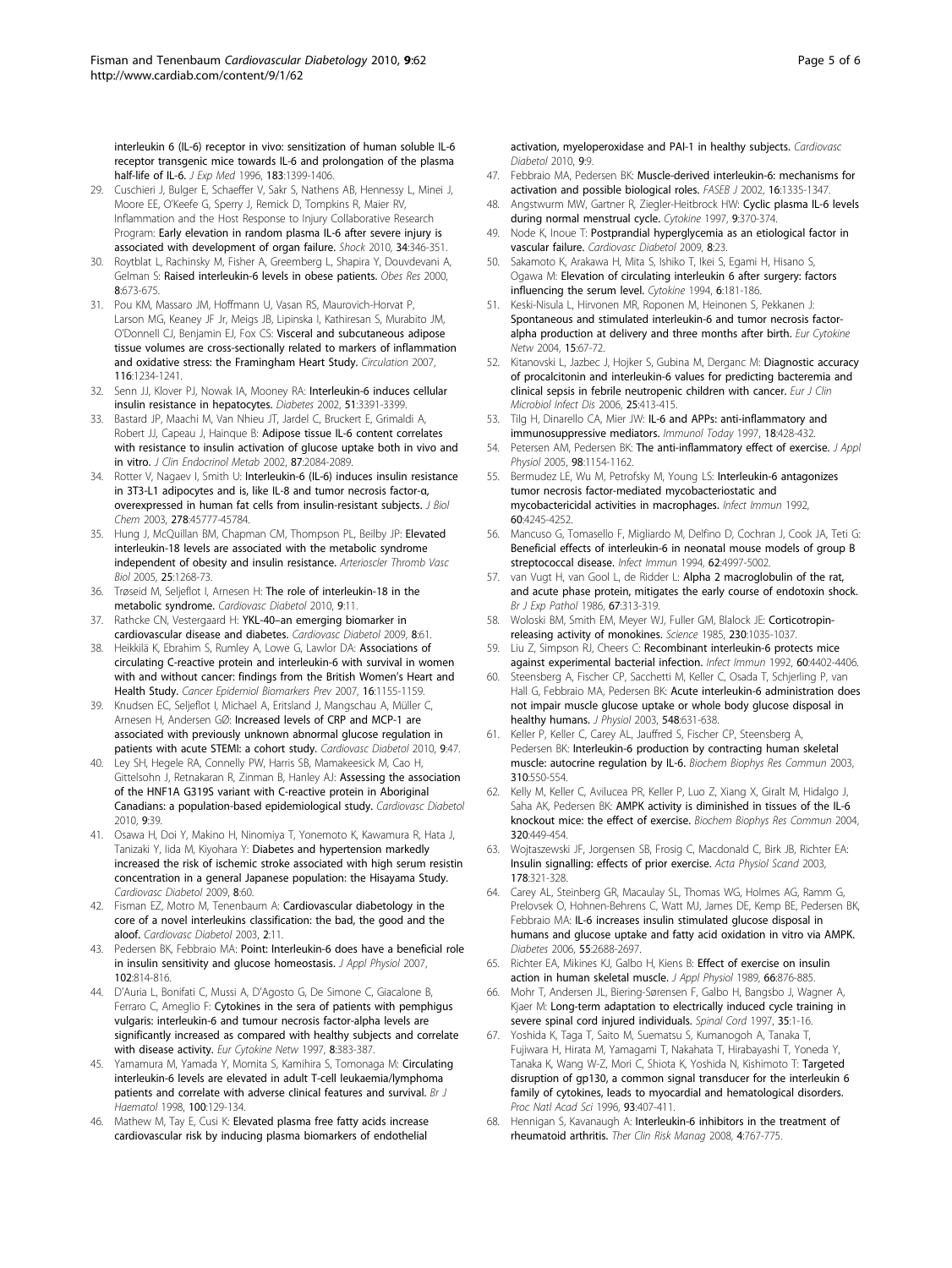<span id="page-4-0"></span>[interleukin 6 \(IL-6\) receptor in vivo: sensitization of human soluble IL-6](http://www.ncbi.nlm.nih.gov/pubmed/8666898?dopt=Abstract) [receptor transgenic mice towards IL-6 and prolongation of the plasma](http://www.ncbi.nlm.nih.gov/pubmed/8666898?dopt=Abstract) [half-life of IL-6.](http://www.ncbi.nlm.nih.gov/pubmed/8666898?dopt=Abstract) *J Exp Med* 1996, 183:1399-1406.

- 29. Cuschieri J, Bulger E, Schaeffer V, Sakr S, Nathens AB, Hennessy L, Minei J, Moore EE, O'Keefe G, Sperry J, Remick D, Tompkins R, Maier RV, Inflammation and the Host Response to Injury Collaborative Research Program: [Early elevation in random plasma IL-6 after severe injury is](http://www.ncbi.nlm.nih.gov/pubmed/20844410?dopt=Abstract) [associated with development of organ failure.](http://www.ncbi.nlm.nih.gov/pubmed/20844410?dopt=Abstract) Shock 2010, 34:346-351.
- 30. Roytblat L, Rachinsky M, Fisher A, Greemberg L, Shapira Y, Douvdevani A, Gelman S: [Raised interleukin-6 levels in obese patients.](http://www.ncbi.nlm.nih.gov/pubmed/11225716?dopt=Abstract) Obes Res 2000, 8:673-675.
- 31. Pou KM, Massaro JM, Hoffmann U, Vasan RS, Maurovich-Horvat P, Larson MG, Keaney JF Jr, Meigs JB, Lipinska I, Kathiresan S, Murabito JM, O'Donnell CJ, Benjamin EJ, Fox CS: [Visceral and subcutaneous adipose](http://www.ncbi.nlm.nih.gov/pubmed/17709633?dopt=Abstract) [tissue volumes are cross-sectionally related to markers of inflammation](http://www.ncbi.nlm.nih.gov/pubmed/17709633?dopt=Abstract) [and oxidative stress: the Framingham Heart Study.](http://www.ncbi.nlm.nih.gov/pubmed/17709633?dopt=Abstract) Circulation 2007, 116:1234-1241.
- 32. Senn JJ, Klover PJ, Nowak IA, Mooney RA: [Interleukin-6 induces cellular](http://www.ncbi.nlm.nih.gov/pubmed/12453891?dopt=Abstract) [insulin resistance in hepatocytes.](http://www.ncbi.nlm.nih.gov/pubmed/12453891?dopt=Abstract) Diabetes 2002, 51:3391-3399.
- 33. Bastard JP, Maachi M, Van Nhieu JT, Jardel C, Bruckert E, Grimaldi A, Robert JJ, Capeau J, Hainque B: [Adipose tissue IL-6 content correlates](http://www.ncbi.nlm.nih.gov/pubmed/11994345?dopt=Abstract) [with resistance to insulin activation of glucose uptake both in vivo and](http://www.ncbi.nlm.nih.gov/pubmed/11994345?dopt=Abstract) [in vitro.](http://www.ncbi.nlm.nih.gov/pubmed/11994345?dopt=Abstract) J Clin Endocrinol Metab 2002, 87:2084-2089.
- 34. Rotter V, Nagaev I, Smith U: [Interleukin-6 \(IL-6\) induces insulin resistance](http://www.ncbi.nlm.nih.gov/pubmed/12952969?dopt=Abstract) [in 3T3-L1 adipocytes and is, like IL-8 and tumor necrosis factor-](http://www.ncbi.nlm.nih.gov/pubmed/12952969?dopt=Abstract)α, [overexpressed in human fat cells from insulin-resistant subjects.](http://www.ncbi.nlm.nih.gov/pubmed/12952969?dopt=Abstract) J Biol Chem 2003, 278:45777-45784.
- 35. Hung J, McQuillan BM, Chapman CM, Thompson PL, Beilby JP: [Elevated](http://www.ncbi.nlm.nih.gov/pubmed/15790931?dopt=Abstract) [interleukin-18 levels are associated with the metabolic syndrome](http://www.ncbi.nlm.nih.gov/pubmed/15790931?dopt=Abstract) [independent of obesity and insulin resistance.](http://www.ncbi.nlm.nih.gov/pubmed/15790931?dopt=Abstract) Arterioscler Thromb Vasc Biol 2005, 25:1268-73.
- 36. Trøseid M, Seljeflot I, Arnesen H: [The role of interleukin-18 in the](http://www.ncbi.nlm.nih.gov/pubmed/20331890?dopt=Abstract) [metabolic syndrome.](http://www.ncbi.nlm.nih.gov/pubmed/20331890?dopt=Abstract) Cardiovasc Diabetol 2010, 9:11.
- 37. Rathcke CN, Vestergaard H: YKL-40-[an emerging biomarker in](http://www.ncbi.nlm.nih.gov/pubmed/19930630?dopt=Abstract) [cardiovascular disease and diabetes.](http://www.ncbi.nlm.nih.gov/pubmed/19930630?dopt=Abstract) Cardiovasc Diabetol 2009, 8:61.
- 38. Heikkilä K, Ebrahim S, Rumley A, Lowe G, Lawlor DA: [Associations of](http://www.ncbi.nlm.nih.gov/pubmed/17548678?dopt=Abstract) [circulating C-reactive protein and interleukin-6 with survival in women](http://www.ncbi.nlm.nih.gov/pubmed/17548678?dopt=Abstract) [with and without cancer: findings from the British Women](http://www.ncbi.nlm.nih.gov/pubmed/17548678?dopt=Abstract)'s Heart and [Health Study.](http://www.ncbi.nlm.nih.gov/pubmed/17548678?dopt=Abstract) Cancer Epidemiol Biomarkers Prev 2007, 16:1155-1159.
- 39. Knudsen EC, Seljeflot I, Michael A, Eritsland J, Mangschau A, Müller C, Arnesen H, Andersen GØ: [Increased levels of CRP and MCP-1 are](http://www.ncbi.nlm.nih.gov/pubmed/20809989?dopt=Abstract) [associated with previously unknown abnormal glucose regulation in](http://www.ncbi.nlm.nih.gov/pubmed/20809989?dopt=Abstract) [patients with acute STEMI: a cohort study.](http://www.ncbi.nlm.nih.gov/pubmed/20809989?dopt=Abstract) Cardiovasc Diabetol 2010, 9:47.
- 40. Ley SH, Hegele RA, Connelly PW, Harris SB, Mamakeesick M, Cao H, Gittelsohn J, Retnakaran R, Zinman B, Hanley AJ: [Assessing the association](http://www.ncbi.nlm.nih.gov/pubmed/20716378?dopt=Abstract) [of the HNF1A G319S variant with C-reactive protein in Aboriginal](http://www.ncbi.nlm.nih.gov/pubmed/20716378?dopt=Abstract) [Canadians: a population-based epidemiological study.](http://www.ncbi.nlm.nih.gov/pubmed/20716378?dopt=Abstract) Cardiovasc Diabetol 2010, 9:39.
- 41. Osawa H, Doi Y, Makino H, Ninomiya T, Yonemoto K, Kawamura R, Hata J, Tanizaki Y, Iida M, Kiyohara Y: [Diabetes and hypertension markedly](http://www.ncbi.nlm.nih.gov/pubmed/19922611?dopt=Abstract) [increased the risk of ischemic stroke associated with high serum resistin](http://www.ncbi.nlm.nih.gov/pubmed/19922611?dopt=Abstract) [concentration in a general Japanese population: the Hisayama Study.](http://www.ncbi.nlm.nih.gov/pubmed/19922611?dopt=Abstract) Cardiovasc Diabetol 2009, 8:60.
- 42. Fisman EZ, Motro M, Tenenbaum A: [Cardiovascular diabetology in the](http://www.ncbi.nlm.nih.gov/pubmed/14525620?dopt=Abstract) [core of a novel interleukins classification: the bad, the good and the](http://www.ncbi.nlm.nih.gov/pubmed/14525620?dopt=Abstract) [aloof.](http://www.ncbi.nlm.nih.gov/pubmed/14525620?dopt=Abstract) Cardiovasc Diabetol 2003, 2:11.
- 43. Pedersen BK, Febbraio MA: [Point: Interleukin-6 does have a beneficial role](http://www.ncbi.nlm.nih.gov/pubmed/17068210?dopt=Abstract) [in insulin sensitivity and glucose homeostasis.](http://www.ncbi.nlm.nih.gov/pubmed/17068210?dopt=Abstract) J Appl Physiol 2007, 102:814-816.
- 44. D'Auria L, Bonifati C, Mussi A, D'Agosto G, De Simone C, Giacalone B, Ferraro C, Ameglio F: [Cytokines in the sera of patients with pemphigus](http://www.ncbi.nlm.nih.gov/pubmed/9459618?dopt=Abstract) [vulgaris: interleukin-6 and tumour necrosis factor-alpha levels are](http://www.ncbi.nlm.nih.gov/pubmed/9459618?dopt=Abstract) [significantly increased as compared with healthy subjects and correlate](http://www.ncbi.nlm.nih.gov/pubmed/9459618?dopt=Abstract) [with disease activity.](http://www.ncbi.nlm.nih.gov/pubmed/9459618?dopt=Abstract) Eur Cytokine Netw 1997, 8:383-387.
- 45. Yamamura M, Yamada Y, Momita S, Kamihira S, Tomonaga M: [Circulating](http://www.ncbi.nlm.nih.gov/pubmed/9450801?dopt=Abstract) [interleukin-6 levels are elevated in adult T-cell leukaemia/lymphoma](http://www.ncbi.nlm.nih.gov/pubmed/9450801?dopt=Abstract) [patients and correlate with adverse clinical features and survival.](http://www.ncbi.nlm.nih.gov/pubmed/9450801?dopt=Abstract) Br J Haematol 1998, 100:129-134.
- 46. Mathew M, Tay E, Cusi K: [Elevated plasma free fatty acids increase](http://www.ncbi.nlm.nih.gov/pubmed/20158910?dopt=Abstract) [cardiovascular risk by inducing plasma biomarkers of endothelial](http://www.ncbi.nlm.nih.gov/pubmed/20158910?dopt=Abstract)

[activation, myeloperoxidase and PAI-1 in healthy subjects.](http://www.ncbi.nlm.nih.gov/pubmed/20158910?dopt=Abstract) Cardiovasc Diabetol 2010, 9:9.

- 47. Febbraio MA, Pedersen BK: [Muscle-derived interleukin-6: mechanisms for](http://www.ncbi.nlm.nih.gov/pubmed/12205025?dopt=Abstract) [activation and possible biological roles.](http://www.ncbi.nlm.nih.gov/pubmed/12205025?dopt=Abstract) FASEB J 2002, 16:1335-1347.
- 48. Angstwurm MW, Gartner R, Ziegler-Heitbrock HW: [Cyclic plasma IL-6 levels](http://www.ncbi.nlm.nih.gov/pubmed/9195137?dopt=Abstract) [during normal menstrual cycle.](http://www.ncbi.nlm.nih.gov/pubmed/9195137?dopt=Abstract) Cytokine 1997, 9:370-374.
- 49. Node K, Inoue T: [Postprandial hyperglycemia as an etiological factor in](http://www.ncbi.nlm.nih.gov/pubmed/19402896?dopt=Abstract) [vascular failure.](http://www.ncbi.nlm.nih.gov/pubmed/19402896?dopt=Abstract) Cardiovasc Diabetol 2009, 8:23.
- 50. Sakamoto K, Arakawa H, Mita S, Ishiko T, Ikei S, Egami H, Hisano S, Ogawa M: [Elevation of circulating interleukin 6 after surgery: factors](http://www.ncbi.nlm.nih.gov/pubmed/8032001?dopt=Abstract) [influencing the serum level.](http://www.ncbi.nlm.nih.gov/pubmed/8032001?dopt=Abstract) Cytokine 1994, 6:181-186.
- 51. Keski-Nisula L, Hirvonen MR, Roponen M, Heinonen S, Pekkanen J: [Spontaneous and stimulated interleukin-6 and tumor necrosis factor](http://www.ncbi.nlm.nih.gov/pubmed/15217755?dopt=Abstract)[alpha production at delivery and three months after birth.](http://www.ncbi.nlm.nih.gov/pubmed/15217755?dopt=Abstract) Eur Cytokine Netw 2004, 15:67-72.
- 52. Kitanovski L, Jazbec J, Hojker S, Gubina M, Derganc M: [Diagnostic accuracy](http://www.ncbi.nlm.nih.gov/pubmed/16767494?dopt=Abstract) [of procalcitonin and interleukin-6 values for predicting bacteremia and](http://www.ncbi.nlm.nih.gov/pubmed/16767494?dopt=Abstract) [clinical sepsis in febrile neutropenic children with cancer.](http://www.ncbi.nlm.nih.gov/pubmed/16767494?dopt=Abstract) Eur J Clin Microbiol Infect Dis 2006, 25:413-415.
- 53. Tilg H, Dinarello CA, Mier JW: [IL-6 and APPs: anti-inflammatory and](http://www.ncbi.nlm.nih.gov/pubmed/9293158?dopt=Abstract) [immunosuppressive mediators.](http://www.ncbi.nlm.nih.gov/pubmed/9293158?dopt=Abstract) Immunol Today 1997, 18:428-432.
- 54. Petersen AM, Pedersen BK: [The anti-inflammatory effect of exercise.](http://www.ncbi.nlm.nih.gov/pubmed/15772055?dopt=Abstract) J Appl Physiol 2005, 98:1154-1162.
- 55. Bermudez LE, Wu M, Petrofsky M, Young LS: [Interleukin-6 antagonizes](http://www.ncbi.nlm.nih.gov/pubmed/1328056?dopt=Abstract) [tumor necrosis factor-mediated mycobacteriostatic and](http://www.ncbi.nlm.nih.gov/pubmed/1328056?dopt=Abstract) [mycobactericidal activities in macrophages.](http://www.ncbi.nlm.nih.gov/pubmed/1328056?dopt=Abstract) Infect Immun 1992, 60:4245-4252.
- 56. Mancuso G, Tomasello F, Migliardo M, Delfino D, Cochran J, Cook JA, Teti G: [Beneficial effects of interleukin-6 in neonatal mouse models of group B](http://www.ncbi.nlm.nih.gov/pubmed/7927780?dopt=Abstract) [streptococcal disease.](http://www.ncbi.nlm.nih.gov/pubmed/7927780?dopt=Abstract) Infect Immun 1994, 62:4997-5002.
- 57. van Vugt H, van Gool L, de Ridder L: [Alpha 2 macroglobulin of the rat,](http://www.ncbi.nlm.nih.gov/pubmed/2424486?dopt=Abstract) [and acute phase protein, mitigates the early course of endotoxin shock.](http://www.ncbi.nlm.nih.gov/pubmed/2424486?dopt=Abstract) Br J Exp Pathol 1986, 67:313-319.
- 58. Woloski BM, Smith EM, Meyer WJ, Fuller GM, Blalock JE: [Corticotropin](http://www.ncbi.nlm.nih.gov/pubmed/2997929?dopt=Abstract)[releasing activity of monokines.](http://www.ncbi.nlm.nih.gov/pubmed/2997929?dopt=Abstract) Science 1985, 230:1035-1037.
- 59. Liu Z, Simpson RJ, Cheers C: [Recombinant interleukin-6 protects mice](http://www.ncbi.nlm.nih.gov/pubmed/1398949?dopt=Abstract) [against experimental bacterial infection.](http://www.ncbi.nlm.nih.gov/pubmed/1398949?dopt=Abstract) Infect Immun 1992, 60:4402-4406.
- 60. Steensberg A, Fischer CP, Sacchetti M, Keller C, Osada T, Schjerling P, van Hall G, Febbraio MA, Pedersen BK: [Acute interleukin-6 administration does](http://www.ncbi.nlm.nih.gov/pubmed/12640021?dopt=Abstract) [not impair muscle glucose uptake or whole body glucose disposal in](http://www.ncbi.nlm.nih.gov/pubmed/12640021?dopt=Abstract) [healthy humans.](http://www.ncbi.nlm.nih.gov/pubmed/12640021?dopt=Abstract) J Physiol 2003, 548:631-638.
- 61. Keller P, Keller C, Carey AL, Jauffred S, Fischer CP, Steensberg A, Pedersen BK: [Interleukin-6 production by contracting human skeletal](http://www.ncbi.nlm.nih.gov/pubmed/14521945?dopt=Abstract) [muscle: autocrine regulation by IL-6.](http://www.ncbi.nlm.nih.gov/pubmed/14521945?dopt=Abstract) Biochem Biophys Res Commun 2003, 310:550-554.
- 62. Kelly M, Keller C, Avilucea PR, Keller P, Luo Z, Xiang X, Giralt M, Hidalgo J, Saha AK, Pedersen BK: [AMPK activity is diminished in tissues of the IL-6](http://www.ncbi.nlm.nih.gov/pubmed/15219849?dopt=Abstract) [knockout mice: the effect of exercise.](http://www.ncbi.nlm.nih.gov/pubmed/15219849?dopt=Abstract) Biochem Biophys Res Commun 2004, 320:449-454.
- 63. Wojtaszewski JF, Jorgensen SB, Frosig C, Macdonald C, Birk JB, Richter EA: [Insulin signalling: effects of prior exercise.](http://www.ncbi.nlm.nih.gov/pubmed/12864736?dopt=Abstract) Acta Physiol Scand 2003, 178:321-328.
- 64. Carey AL, Steinberg GR, Macaulay SL, Thomas WG, Holmes AG, Ramm G, Prelovsek O, Hohnen-Behrens C, Watt MJ, James DE, Kemp BE, Pedersen BK, Febbraio MA: [IL-6 increases insulin stimulated glucose disposal in](http://www.ncbi.nlm.nih.gov/pubmed/17003332?dopt=Abstract) [humans and glucose uptake and fatty acid oxidation in vitro via AMPK.](http://www.ncbi.nlm.nih.gov/pubmed/17003332?dopt=Abstract) Diabetes 2006, 55:2688-2697.
- 65. Richter EA, Mikines KJ, Galbo H, Kiens B: [Effect of exercise on insulin](http://www.ncbi.nlm.nih.gov/pubmed/2496078?dopt=Abstract) [action in human skeletal muscle.](http://www.ncbi.nlm.nih.gov/pubmed/2496078?dopt=Abstract) J Appl Physiol 1989, 66:876-885.
- 66. Mohr T, Andersen JL, Biering-Sørensen F, Galbo H, Bangsbo J, Wagner A, Kjaer M: [Long-term adaptation to electrically induced cycle training in](http://www.ncbi.nlm.nih.gov/pubmed/9025213?dopt=Abstract) [severe spinal cord injured individuals.](http://www.ncbi.nlm.nih.gov/pubmed/9025213?dopt=Abstract) Spinal Cord 1997, 35:1-16.
- 67. Yoshida K, Taga T, Saito M, Suematsu S, Kumanogoh A, Tanaka T, Fujiwara H, Hirata M, Yamagami T, Nakahata T, Hirabayashi T, Yoneda Y, Tanaka K, Wang W-Z, Mori C, Shiota K, Yoshida N, Kishimoto T: [Targeted](http://www.ncbi.nlm.nih.gov/pubmed/8552649?dopt=Abstract) [disruption of gp130, a common signal transducer for the interleukin 6](http://www.ncbi.nlm.nih.gov/pubmed/8552649?dopt=Abstract) [family of cytokines, leads to myocardial and hematological disorders.](http://www.ncbi.nlm.nih.gov/pubmed/8552649?dopt=Abstract) Proc Natl Acad Sci 1996, 93:407-411.
- 68. Hennigan S, Kavanaugh A: [Interleukin-6 inhibitors in the treatment of](http://www.ncbi.nlm.nih.gov/pubmed/19209259?dopt=Abstract) [rheumatoid arthritis.](http://www.ncbi.nlm.nih.gov/pubmed/19209259?dopt=Abstract) Ther Clin Risk Manag 2008, 4:767-775.